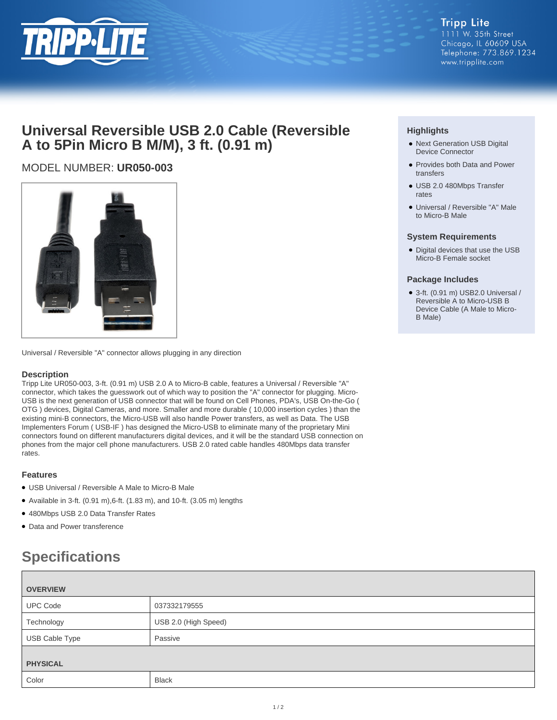

## **Universal Reversible USB 2.0 Cable (Reversible A to 5Pin Micro B M/M), 3 ft. (0.91 m)**

## MODEL NUMBER: **UR050-003**



Universal / Reversible "A" connector allows plugging in any direction

### **Description**

Tripp Lite UR050-003, 3-ft. (0.91 m) USB 2.0 A to Micro-B cable, features a Universal / Reversible "A" connector, which takes the guesswork out of which way to position the "A" connector for plugging. Micro-USB is the next generation of USB connector that will be found on Cell Phones, PDA's, USB On-the-Go ( OTG ) devices, Digital Cameras, and more. Smaller and more durable ( 10,000 insertion cycles ) than the existing mini-B connectors, the Micro-USB will also handle Power transfers, as well as Data. The USB Implementers Forum ( USB-IF ) has designed the Micro-USB to eliminate many of the proprietary Mini connectors found on different manufacturers digital devices, and it will be the standard USB connection on phones from the major cell phone manufacturers. USB 2.0 rated cable handles 480Mbps data transfer rates.

### **Features**

- USB Universal / Reversible A Male to Micro-B Male
- $\bullet$  Available in 3-ft. (0.91 m), 6-ft. (1.83 m), and 10-ft. (3.05 m) lengths
- 480Mbps USB 2.0 Data Transfer Rates
- Data and Power transference

# **Specifications**

| <b>OVERVIEW</b> |                      |
|-----------------|----------------------|
| <b>UPC Code</b> | 037332179555         |
| Technology      | USB 2.0 (High Speed) |
| USB Cable Type  | Passive              |
| <b>PHYSICAL</b> |                      |
|                 |                      |
| Color           | <b>Black</b>         |

### **Highlights**

- Next Generation USB Digital Device Connector
- Provides both Data and Power transfers
- USB 2.0 480Mbps Transfer rates
- Universal / Reversible "A" Male to Micro-B Male

### **System Requirements**

• Digital devices that use the USB Micro-B Female socket

#### **Package Includes**

● 3-ft. (0.91 m) USB2.0 Universal / Reversible A to Micro-USB B Device Cable (A Male to Micro-B Male)